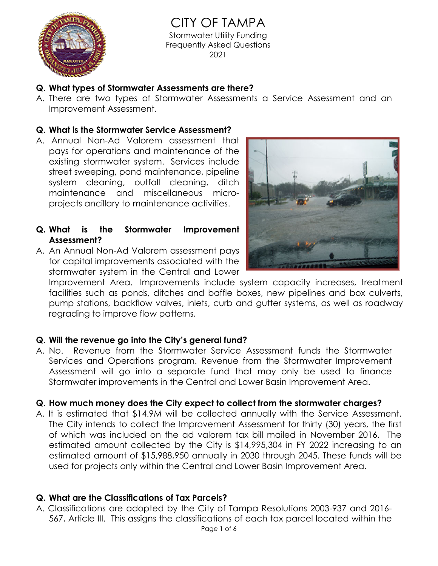

CITY OF TAMPA Stormwater Utility Funding Frequently Asked Questions 2021

### **Q. What types of Stormwater Assessments are there?**

A. There are two types of Stormwater Assessments a Service Assessment and an Improvement Assessment.

### **Q. What is the Stormwater Service Assessment?**

A. Annual Non-Ad Valorem assessment that pays for operations and maintenance of the existing stormwater system. Services include street sweeping, pond maintenance, pipeline system cleaning, outfall cleaning, ditch maintenance and miscellaneous microprojects ancillary to maintenance activities.

## **Q. What is the Stormwater Improvement Assessment?**

A. An Annual Non-Ad Valorem assessment pays for capital improvements associated with the stormwater system in the Central and Lower



Improvement Area. Improvements include system capacity increases, treatment facilities such as ponds, ditches and baffle boxes, new pipelines and box culverts, pump stations, backflow valves, inlets, curb and gutter systems, as well as roadway regrading to improve flow patterns.

#### **Q. Will the revenue go into the City's general fund?**

A. No. Revenue from the Stormwater Service Assessment funds the Stormwater Services and Operations program. Revenue from the Stormwater Improvement Assessment will go into a separate fund that may only be used to finance Stormwater improvements in the Central and Lower Basin Improvement Area.

# **Q. How much money does the City expect to collect from the stormwater charges?**

A. It is estimated that \$14.9M will be collected annually with the Service Assessment. The City intends to collect the Improvement Assessment for thirty (30) years, the first of which was included on the ad valorem tax bill mailed in November 2016. The estimated amount collected by the City is \$14,995,304 in FY 2022 increasing to an estimated amount of \$15,988,950 annually in 2030 through 2045. These funds will be used for projects only within the Central and Lower Basin Improvement Area.

# **Q. What are the Classifications of Tax Parcels?**

A. Classifications are adopted by the City of Tampa Resolutions 2003-937 and 2016- 567, Article III. This assigns the classifications of each tax parcel located within the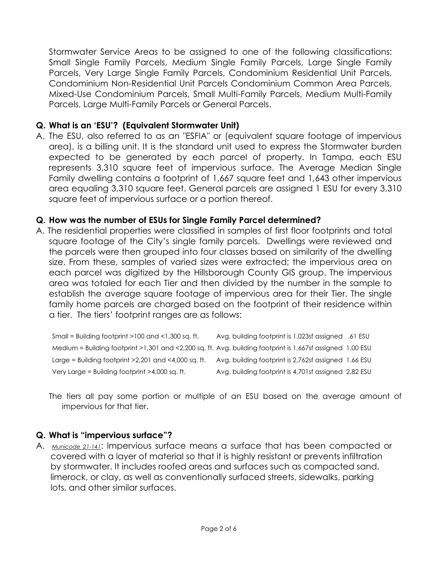Stormwater Service Areas to be assigned to one of the following classifications: Small Single Family Parcels, Medium Single Family Parcels, Large Single Family Parcels, Very Large Single Family Parcels, Condominium Residential Unit Parcels, Condominium Non-Residential Unit Parcels Condominium Common Area Parcels, Mixed-Use Condominium Parcels, Small Multi-Family Parcels, Medium Multi-Family Parcels, Large Multi-Family Parcels or General Parcels.

### **Q. What is an 'ESU'? (Equivalent Stormwater Unit)**

A. The ESU, also referred to as an "ESFIA" or (equivalent square footage of impervious area), is a billing unit. It is the standard unit used to express the Stormwater burden expected to be generated by each parcel of property. In Tampa, each ESU represents 3,310 square feet of impervious surface. The Average Median Single Family dwelling contains a footprint of 1,667 square feet and 1,643 other impervious area equaling 3,310 square feet. General parcels are assigned 1 ESU for every 3,310 square feet of impervious surface or a portion thereof.

## **Q. How was the number of ESUs for Single Family Parcel determined?**

 a tier. The tiers' footprint ranges are as follows: A. The residential properties were classified in samples of first floor footprints and total square footage of the City's single family parcels. Dwellings were reviewed and the parcels were then grouped into four classes based on similarity of the dwelling size. From these, samples of varied sizes were extracted; the impervious area on each parcel was digitized by the Hillsborough County GIS group. The impervious area was totaled for each Tier and then divided by the number in the sample to establish the average square footage of impervious area for their Tier. The single family home parcels are charged based on the footprint of their residence within

Small = Building footprint >100 and <1,300 sq. ft. Avg. building footprint is 1,023sf assigned .61 ESU Medium = Building footprint >1,301 and <2,200 sq. ft. Avg. building footprint is 1,667sf assigned 1.00 ESU Large = Building footprint >2,201 and <4,000 sq. ft. Avg. building footprint is 2,762sf assigned 1.66 ESU Very Large = Building footprint >4,000 sq. ft. Avg. building footprint is 4,701sf assigned 2.82 ESU

The tiers all pay some portion or multiple of an ESU based on the average amount of impervious for that tier.

#### **Q. What is "impervious surface"?**

A. *Municode 21-141*: Impervious surface means a surface that has been compacted or covered with a layer of material so that it is highly resistant or prevents infiltration by stormwater. It includes roofed areas and surfaces such as compacted sand, limerock, or clay, as well as conventionally surfaced streets, sidewalks, parking lots, and other similar surfaces.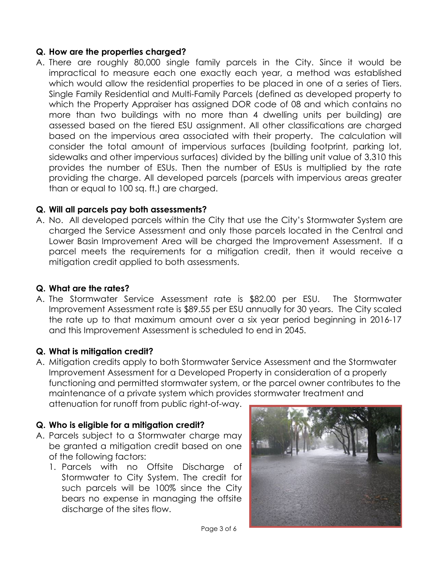## **Q. How are the properties charged?**

A. There are roughly 80,000 single family parcels in the City. Since it would be impractical to measure each one exactly each year, a method was established which would allow the residential properties to be placed in one of a series of Tiers. Single Family Residential and Multi-Family Parcels (defined as developed property to which the Property Appraiser has assigned DOR code of 08 and which contains no more than two buildings with no more than 4 dwelling units per building) are assessed based on the tiered ESU assignment. All other classifications are charged based on the impervious area associated with their property. The calculation will consider the total amount of impervious surfaces (building footprint, parking lot, sidewalks and other impervious surfaces) divided by the billing unit value of 3,310 this provides the number of ESUs. Then the number of ESUs is multiplied by the rate providing the charge. All developed parcels (parcels with impervious areas greater than or equal to 100 sq. ft.) are charged.

## **Q. Will all parcels pay both assessments?**

A. No. All developed parcels within the City that use the City's Stormwater System are charged the Service Assessment and only those parcels located in the Central and Lower Basin Improvement Area will be charged the Improvement Assessment. If a parcel meets the requirements for a mitigation credit, then it would receive a mitigation credit applied to both assessments.

# **Q. What are the rates?**

A. The Stormwater Service Assessment rate is \$82.00 per ESU. The Stormwater Improvement Assessment rate is \$89.55 per ESU annually for 30 years. The City scaled the rate up to that maximum amount over a six year period beginning in 2016-17 and this Improvement Assessment is scheduled to end in 2045.

# **Q. What is mitigation credit?**

A. Mitigation credits apply to both Stormwater Service Assessment and the Stormwater Improvement Assessment for a Developed Property in consideration of a properly functioning and permitted stormwater system, or the parcel owner contributes to the maintenance of a private system which provides stormwater treatment and attenuation for runoff from public right-of-way.

# **Q. Who is eligible for a mitigation credit?**

- A. Parcels subject to a Stormwater charge may be granted a mitigation credit based on one of the following factors:
	- 1. Parcels with no Offsite Discharge of Stormwater to City System. The credit for such parcels will be 100% since the City bears no expense in managing the offsite discharge of the sites flow.

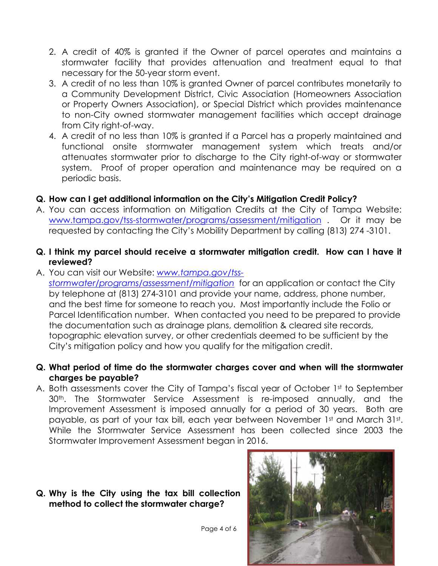- 2. A credit of 40% is granted if the Owner of parcel operates and maintains a stormwater facility that provides attenuation and treatment equal to that necessary for the 50-year storm event.
- 3. A credit of no less than 10% is granted Owner of parcel contributes monetarily to a Community Development District, Civic Association (Homeowners Association or Property Owners Association), or Special District which provides maintenance to non-City owned stormwater management facilities which accept drainage from City right-of-way.
- 4. A credit of no less than 10% is granted if a Parcel has a properly maintained and functional onsite stormwater management system which treats and/or attenuates stormwater prior to discharge to the City right-of-way or stormwater system. Proof of proper operation and maintenance may be required on a periodic basis.

# **Q. How can I get additional information on the City's Mitigation Credit Policy?**

A. You can access information on Mitigation Credits at the City of Tampa Website: www.tampa.gov/tss-stormwater/programs/assessment/mitigation . Or it may be requested by contacting the City's Mobility Department by calling (813) 274 -3101.

### **Q. I think my parcel should receive a stormwater mitigation credit. How can I have it reviewed?**

- A. You can visit our Website: *www.tampa.gov/tssstormwater/programs/assessment/mitigation* for an application or contact the City by telephone at (813) 274-3101 and provide your name, address, phone number, and the best time for someone to reach you. Most importantly include the Folio or Parcel Identification number. When contacted you need to be prepared to provide the documentation such as drainage plans, demolition & cleared site records, topographic elevation survey, or other credentials deemed to be sufficient by the City's mitigation policy and how you qualify for the mitigation credit.
- **Q. What period of time do the stormwater charges cover and when will the stormwater charges be payable?**
- A. Both assessments cover the City of Tampa's fiscal year of October 1st to September 30th. The Stormwater Service Assessment is re-imposed annually, and the Improvement Assessment is imposed annually for a period of 30 years. Both are payable, as part of your tax bill, each year between November 1st and March 31st. While the Stormwater Service Assessment has been collected since 2003 the Stormwater Improvement Assessment began in 2016.

#### **Q. Why is the City using the tax bill collection method to collect the stormwater charge?**



Page 4 of 6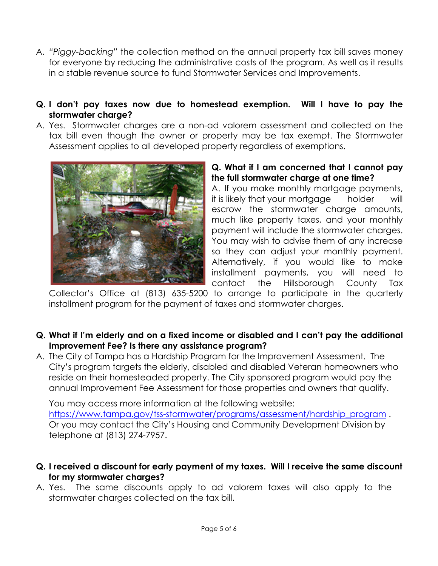- A. *"Piggy-backing"* the collection method on the annual property tax bill saves money for everyone by reducing the administrative costs of the program. As well as it results in a stable revenue source to fund Stormwater Services and Improvements.
- **Q. I don't pay taxes now due to homestead exemption. Will I have to pay the stormwater charge?**
- A. Yes. Stormwater charges are a non-ad valorem assessment and collected on the tax bill even though the owner or property may be tax exempt. The Stormwater Assessment applies to all developed property regardless of exemptions.



#### **Q. What if I am concerned that I cannot pay the full stormwater charge at one time?**

A. If you make monthly mortgage payments, it is likely that your mortgage holder will escrow the stormwater charge amounts, much like property taxes, and your monthly payment will include the stormwater charges. You may wish to advise them of any increase so they can adjust your monthly payment. Alternatively, if you would like to make installment payments, you will need to contact the Hillsborough County Tax

Collector's Office at (813) 635-5200 to arrange to participate in the quarterly installment program for the payment of taxes and stormwater charges.

- **Q. What if I'm elderly and on a fixed income or disabled and I can't pay the additional Improvement Fee? Is there any assistance program?**
- A. The City of Tampa has a Hardship Program for the Improvement Assessment. The City's program targets the elderly, disabled and disabled Veteran homeowners who reside on their homesteaded property. The City sponsored program would pay the annual Improvement Fee Assessment for those properties and owners that qualify.

You may access more information at the following website: https://www.tampa.gov/tss-stormwater/programs/assessment/hardship\_program. Or you may contact the City's Housing and Community Development Division by telephone at (813) 274-7957.

- **Q. I received a discount for early payment of my taxes. Will I receive the same discount for my stormwater charges?**
- A. Yes. The same discounts apply to ad valorem taxes will also apply to the stormwater charges collected on the tax bill.